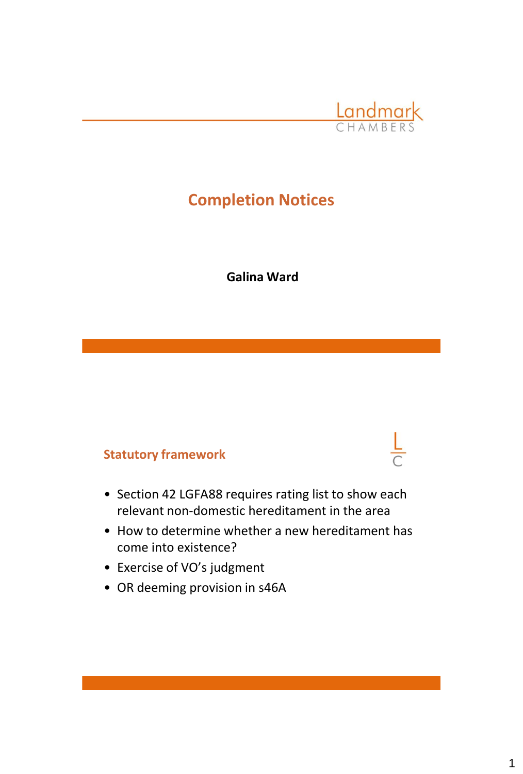

## **Completion Notices**

**Galina Ward**

## **Statutory framework**

- Section 42 LGFA88 requires rating list to show each relevant non-domestic hereditament in the area
- How to determine whether a new hereditament has come into existence?
- Exercise of VO's judgment
- OR deeming provision in s46A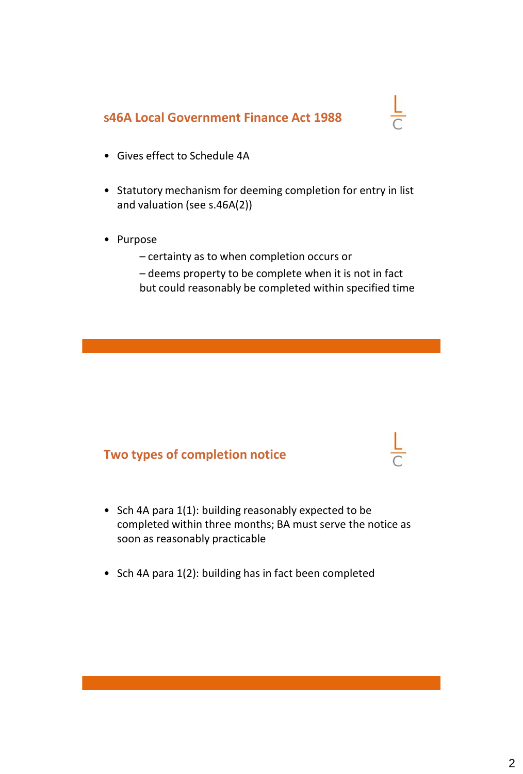## **s46A Local Government Finance Act 1988**

# $\frac{L}{C}$

- Gives effect to Schedule 4A
- Statutory mechanism for deeming completion for entry in list and valuation (see s.46A(2))
- Purpose
	- certainty as to when completion occurs or
	- deems property to be complete when it is not in fact but could reasonably be completed within specified time

## **Two types of completion notice**

- Sch 4A para 1(1): building reasonably expected to be completed within three months; BA must serve the notice as soon as reasonably practicable
- Sch 4A para 1(2): building has in fact been completed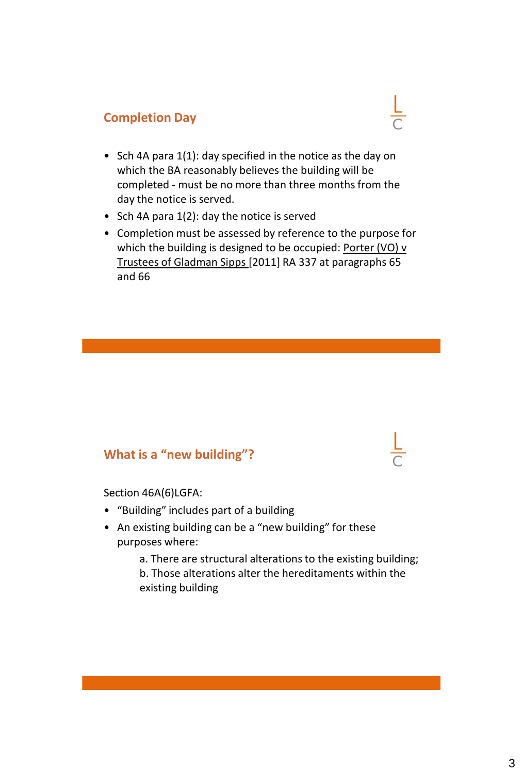## **Completion Day**

• Sch 4A para 1(1): day specified in the notice as the day on which the BA reasonably believes the building will be completed - must be no more than three months from the day the notice is served.

 $\frac{L}{C}$ 

- Sch 4A para 1(2): day the notice is served
- Completion must be assessed by reference to the purpose for which the building is designed to be occupied: Porter (VO) v Trustees of Gladman Sipps [2011] RA 337 at paragraphs 65 and 66

## **What is a "new building"?**

Section 46A(6)LGFA:

- "Building" includes part of a building
- An existing building can be a "new building" for these purposes where:

a. There are structural alterations to the existing building; b. Those alterations alter the hereditaments within the existing building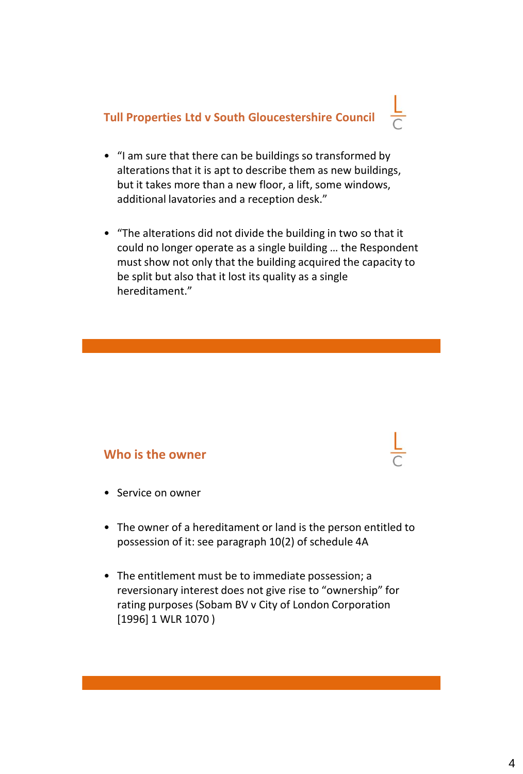## **Tull Properties Ltd v South Gloucestershire Council**

- "I am sure that there can be buildings so transformed by alterations that it is apt to describe them as new buildings, but it takes more than a new floor, a lift, some windows, additional lavatories and a reception desk."
- "The alterations did not divide the building in two so that it could no longer operate as a single building … the Respondent must show not only that the building acquired the capacity to be split but also that it lost its quality as a single hereditament."

#### **Who is the owner**

- Service on owner
- The owner of a hereditament or land is the person entitled to possession of it: see paragraph 10(2) of schedule 4A
- The entitlement must be to immediate possession; a reversionary interest does not give rise to "ownership" for rating purposes (Sobam BV v City of London Corporation [1996] 1 WLR 1070 )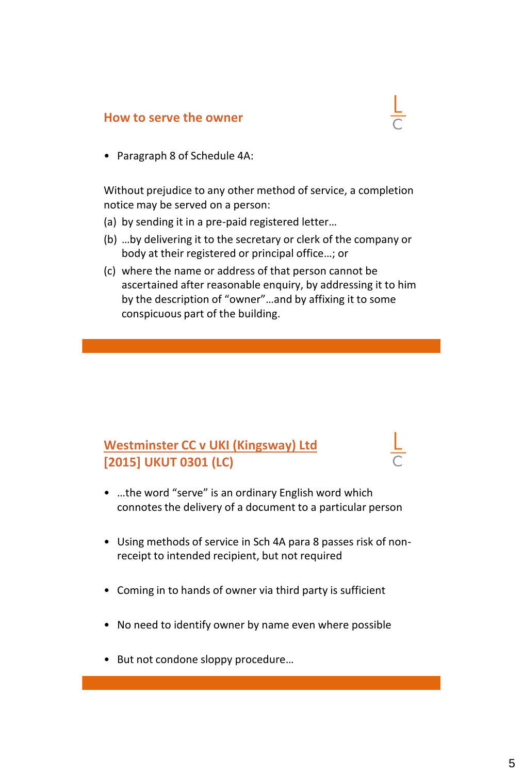#### **How to serve the owner**

• Paragraph 8 of Schedule 4A:

Without prejudice to any other method of service, a completion notice may be served on a person:

- (a) by sending it in a pre-paid registered letter…
- (b) …by delivering it to the secretary or clerk of the company or body at their registered or principal office…; or
- (c) where the name or address of that person cannot be ascertained after reasonable enquiry, by addressing it to him by the description of "owner"…and by affixing it to some conspicuous part of the building.

## **Westminster CC v UKI (Kingsway) Ltd [2015] UKUT 0301 (LC)**

- …the word "serve" is an ordinary English word which connotes the delivery of a document to a particular person
- Using methods of service in Sch 4A para 8 passes risk of nonreceipt to intended recipient, but not required
- Coming in to hands of owner via third party is sufficient
- No need to identify owner by name even where possible
- But not condone sloppy procedure…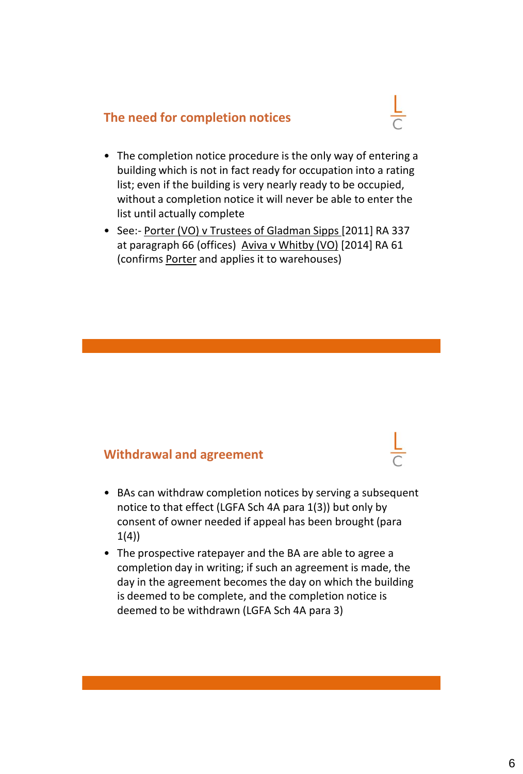#### **The need for completion notices**

- The completion notice procedure is the only way of entering a building which is not in fact ready for occupation into a rating list; even if the building is very nearly ready to be occupied, without a completion notice it will never be able to enter the list until actually complete
- See:- Porter (VO) v Trustees of Gladman Sipps [2011] RA 337 at paragraph 66 (offices) Aviva v Whitby (VO) [2014] RA 61 (confirms Porter and applies it to warehouses)

#### **Withdrawal and agreement**

- BAs can withdraw completion notices by serving a subsequent notice to that effect (LGFA Sch 4A para 1(3)) but only by consent of owner needed if appeal has been brought (para  $1(4)$
- The prospective ratepayer and the BA are able to agree a completion day in writing; if such an agreement is made, the day in the agreement becomes the day on which the building is deemed to be complete, and the completion notice is deemed to be withdrawn (LGFA Sch 4A para 3)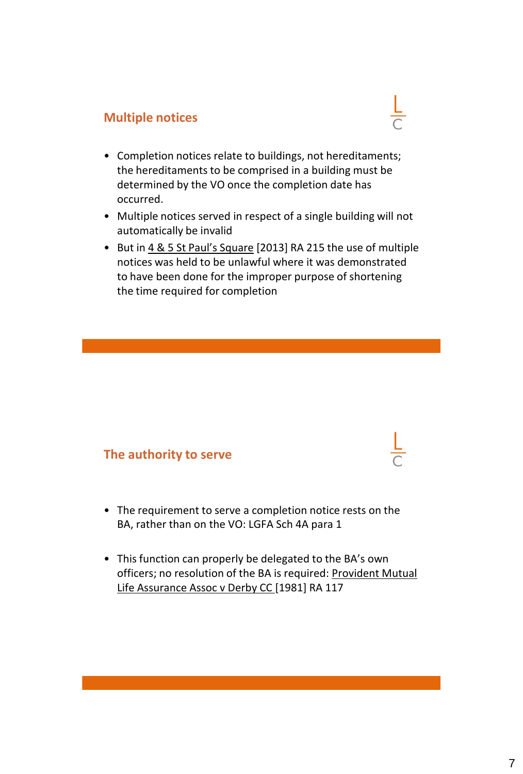## **Multiple notices**

• Completion notices relate to buildings, not hereditaments; the hereditaments to be comprised in a building must be determined by the VO once the completion date has occurred.

 $\frac{L}{C}$ 

- Multiple notices served in respect of a single building will not automatically be invalid
- But in 4 & 5 St Paul's Square [2013] RA 215 the use of multiple notices was held to be unlawful where it was demonstrated to have been done for the improper purpose of shortening the time required for completion

#### **The authority to serve**

- The requirement to serve a completion notice rests on the BA, rather than on the VO: LGFA Sch 4A para 1
- This function can properly be delegated to the BA's own officers; no resolution of the BA is required: Provident Mutual Life Assurance Assoc v Derby CC [1981] RA 117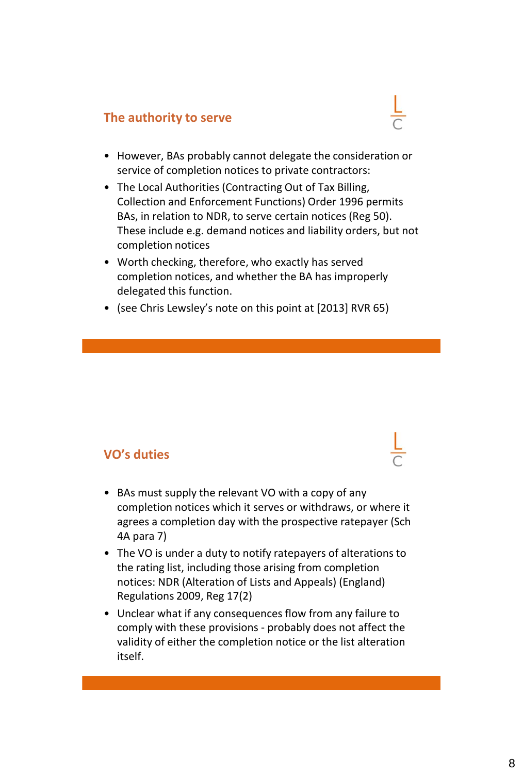## **The authority to serve**

- However, BAs probably cannot delegate the consideration or service of completion notices to private contractors:
- The Local Authorities (Contracting Out of Tax Billing, Collection and Enforcement Functions) Order 1996 permits BAs, in relation to NDR, to serve certain notices (Reg 50). These include e.g. demand notices and liability orders, but not completion notices
- Worth checking, therefore, who exactly has served completion notices, and whether the BA has improperly delegated this function.
- (see Chris Lewsley's note on this point at [2013] RVR 65)

#### **VO's duties**

- BAs must supply the relevant VO with a copy of any completion notices which it serves or withdraws, or where it agrees a completion day with the prospective ratepayer (Sch 4A para 7)
- The VO is under a duty to notify ratepayers of alterations to the rating list, including those arising from completion notices: NDR (Alteration of Lists and Appeals) (England) Regulations 2009, Reg 17(2)
- Unclear what if any consequences flow from any failure to comply with these provisions - probably does not affect the validity of either the completion notice or the list alteration itself.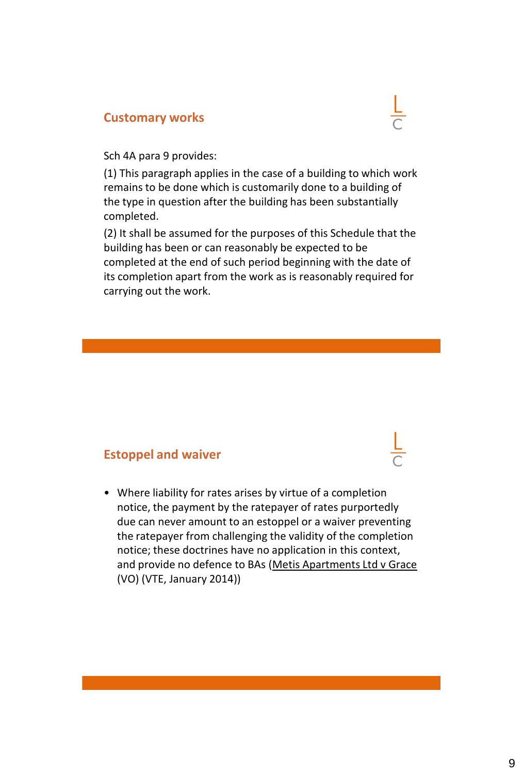#### **Customary works**



Sch 4A para 9 provides:

(1) This paragraph applies in the case of a building to which work remains to be done which is customarily done to a building of the type in question after the building has been substantially completed.

(2) It shall be assumed for the purposes of this Schedule that the building has been or can reasonably be expected to be completed at the end of such period beginning with the date of its completion apart from the work as is reasonably required for carrying out the work.

#### **Estoppel and waiver**

• Where liability for rates arises by virtue of a completion notice, the payment by the ratepayer of rates purportedly due can never amount to an estoppel or a waiver preventing the ratepayer from challenging the validity of the completion notice; these doctrines have no application in this context, and provide no defence to BAs (Metis Apartments Ltd v Grace (VO) (VTE, January 2014))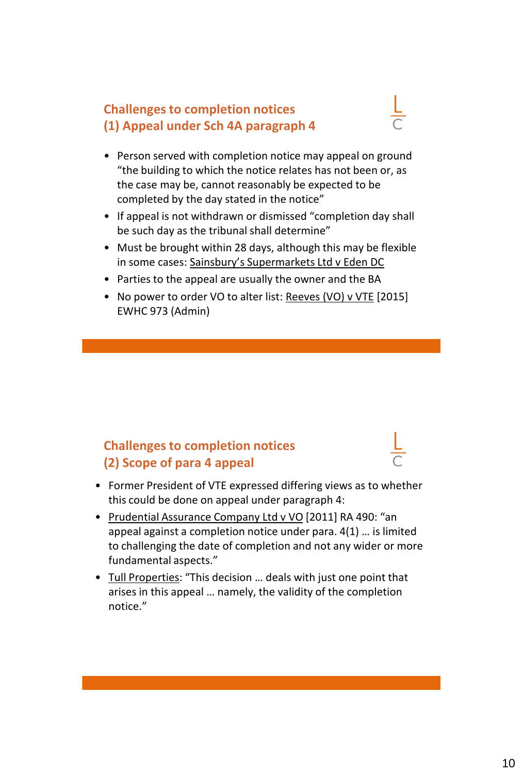## **Challenges to completion notices (1) Appeal under Sch 4A paragraph 4**



- Person served with completion notice may appeal on ground "the building to which the notice relates has not been or, as the case may be, cannot reasonably be expected to be completed by the day stated in the notice"
- If appeal is not withdrawn or dismissed "completion day shall be such day as the tribunal shall determine"
- Must be brought within 28 days, although this may be flexible in some cases: Sainsbury's Supermarkets Ltd v Eden DC
- Parties to the appeal are usually the owner and the BA
- No power to order VO to alter list: Reeves (VO) v VTE [2015] EWHC 973 (Admin)

## **Challenges to completion notices (2) Scope of para 4 appeal**

- Former President of VTE expressed differing views as to whether this could be done on appeal under paragraph 4:
- Prudential Assurance Company Ltd v VO [2011] RA 490: "an appeal against a completion notice under para. 4(1) … is limited to challenging the date of completion and not any wider or more fundamental aspects."
- Tull Properties: "This decision … deals with just one point that arises in this appeal … namely, the validity of the completion notice."